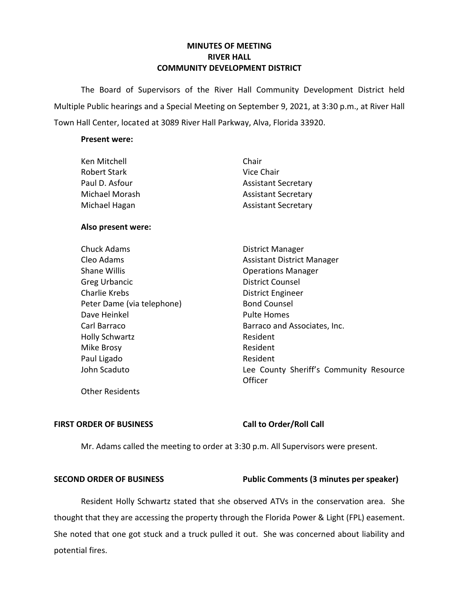# **MINUTES OF MEETING RIVER HALL COMMUNITY DEVELOPMENT DISTRICT**

 The Board of Supervisors of the River Hall Community Development District held Multiple Public hearings and a Special Meeting on September 9, 2021, at 3:30 p.m., at River Hall Town Hall Center, located at 3089 River Hall Parkway, Alva, Florida 33920.

### **Present were:**

| Chair                      |
|----------------------------|
| Vice Chair                 |
| <b>Assistant Secretary</b> |
| <b>Assistant Secretary</b> |
| <b>Assistant Secretary</b> |
|                            |

### **Also present were:**

| <b>Chuck Adams</b>         | District Manager                                   |
|----------------------------|----------------------------------------------------|
| Cleo Adams                 | <b>Assistant District Manager</b>                  |
| <b>Shane Willis</b>        | <b>Operations Manager</b>                          |
| <b>Greg Urbancic</b>       | <b>District Counsel</b>                            |
| Charlie Krebs              | <b>District Engineer</b>                           |
| Peter Dame (via telephone) | <b>Bond Counsel</b>                                |
| Dave Heinkel               | Pulte Homes                                        |
| Carl Barraco               | Barraco and Associates, Inc.                       |
| <b>Holly Schwartz</b>      | Resident                                           |
| Mike Brosy                 | Resident                                           |
| Paul Ligado                | Resident                                           |
| John Scaduto               | Lee County Sheriff's Community Resource<br>Officer |

Other Residents

# FIRST ORDER OF BUSINESS Call to Order/Roll Call

Mr. Adams called the meeting to order at 3:30 p.m. All Supervisors were present.

# SECOND ORDER OF BUSINESS **Public Comments (3 minutes per speaker)**

 She noted that one got stuck and a truck pulled it out. She was concerned about liability and Resident Holly Schwartz stated that she observed ATVs in the conservation area. She thought that they are accessing the property through the Florida Power & Light (FPL) easement. potential fires.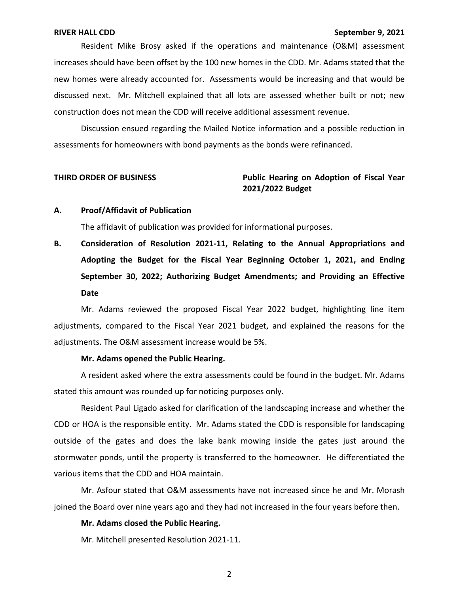Resident Mike Brosy asked if the operations and maintenance (O&M) assessment construction does not mean the CDD will receive additional assessment revenue. increases should have been offset by the 100 new homes in the CDD. Mr. Adams stated that the new homes were already accounted for. Assessments would be increasing and that would be discussed next. Mr. Mitchell explained that all lots are assessed whether built or not; new

 Discussion ensued regarding the Mailed Notice information and a possible reduction in assessments for homeowners with bond payments as the bonds were refinanced.

# **THIRD ORDER OF BUSINESS Public Hearing on Adoption of Fiscal Year 2021/2022 Budget**

### **A. Proof/Affidavit of Publication**

The affidavit of publication was provided for informational purposes.

**B. Consideration of Resolution 2021-11, Relating to the Annual Appropriations and Adopting the Budget for the Fiscal Year Beginning October 1, 2021, and Ending September 30, 2022; Authorizing Budget Amendments; and Providing an Effective Date** 

 adjustments, compared to the Fiscal Year 2021 budget, and explained the reasons for the adjustments. The O&M assessment increase would be 5%. Mr. Adams reviewed the proposed Fiscal Year 2022 budget, highlighting line item

### **Mr. Adams opened the Public Hearing.**

 A resident asked where the extra assessments could be found in the budget. Mr. Adams stated this amount was rounded up for noticing purposes only.

 Resident Paul Ligado asked for clarification of the landscaping increase and whether the outside of the gates and does the lake bank mowing inside the gates just around the stormwater ponds, until the property is transferred to the homeowner. He differentiated the CDD or HOA is the responsible entity. Mr. Adams stated the CDD is responsible for landscaping various items that the CDD and HOA maintain.

 joined the Board over nine years ago and they had not increased in the four years before then. Mr. Asfour stated that O&M assessments have not increased since he and Mr. Morash

### **Mr. Adams closed the Public Hearing.**

Mr. Mitchell presented Resolution 2021-11.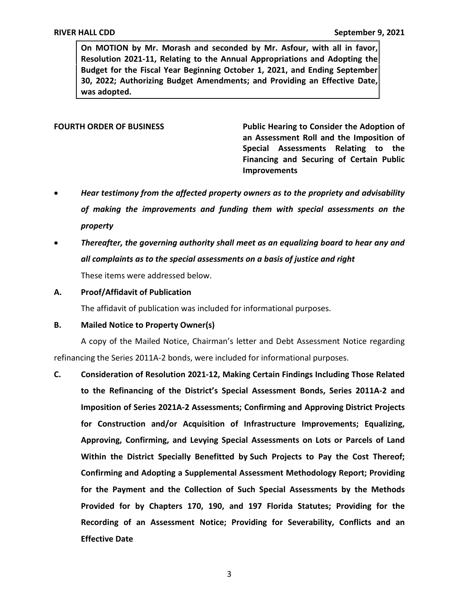**Resolution 2021-11, Relating to the Annual Appropriations and Adopting the On MOTION by Mr. Morash and seconded by Mr. Asfour, with all in favor, Budget for the Fiscal Year Beginning October 1, 2021, and Ending September 30, 2022; Authorizing Budget Amendments; and Providing an Effective Date, was adopted.** 

FOURTH ORDER OF BUSINESS **Public Hearing to Consider the Adoption of an Assessment Roll and the Imposition of Special Assessments Relating to the Financing and Securing of Certain Public Improvements** 

- *Hear testimony from the affected property owners as to the propriety and advisability of making the improvements and funding them with special assessments on the property*
- *all complaints as to the special assessments on a basis of justice and right*  • *Thereafter, the governing authority shall meet as an equalizing board to hear any and*  These items were addressed below.
- **A. Proof/Affidavit of Publication**

The affidavit of publication was included for informational purposes.

**B. Mailed Notice to Property Owner(s)** 

A copy of the Mailed Notice, Chairman's letter and Debt Assessment Notice regarding refinancing the Series 2011A-2 bonds, were included for informational purposes.

 **C. Consideration of Resolution 2021-12, Making Certain Findings Including Those Related to the Refinancing of the District's Special Assessment Bonds, Series 2011A-2 and Imposition of Series 2021A-2 Assessments; Confirming and Approving District Projects for Construction and/or Acquisition of Infrastructure Improvements; Equalizing, Approving, Confirming, and Levying Special Assessments on Lots or Parcels of Land Within the District Specially Benefitted by Such Projects to Pay the Cost Thereof; for the Payment and the Collection of Such Special Assessments by the Methods Recording of an Assessment Notice; Providing for Severability, Conflicts and an Effective Date Confirming and Adopting a Supplemental Assessment Methodology Report; Providing Provided for by Chapters 170, 190, and 197 Florida Statutes; Providing for the**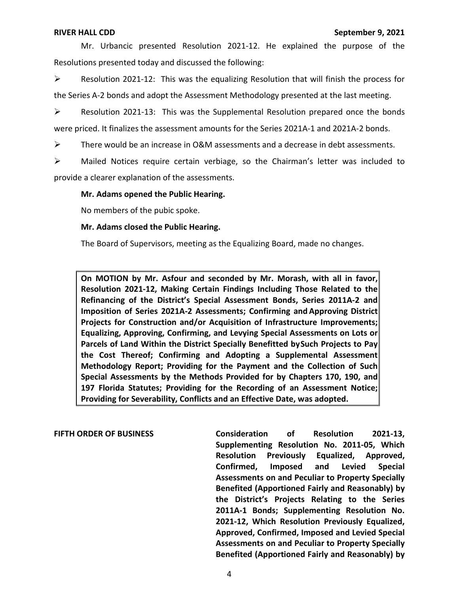Mr. Urbancic presented Resolution 2021-12. He explained the purpose of the Resolutions presented today and discussed the following:

 $\triangleright$  Resolution 2021-12: This was the equalizing Resolution that will finish the process for the Series A-2 bonds and adopt the Assessment Methodology presented at the last meeting.

 $\triangleright$  Resolution 2021-13: This was the Supplemental Resolution prepared once the bonds were priced. It finalizes the assessment amounts for the Series 2021A-1 and 2021A-2 bonds.

 $\triangleright$  There would be an increase in O&M assessments and a decrease in debt assessments.

 $\triangleright$  Mailed Notices require certain verbiage, so the Chairman's letter was included to provide a clearer explanation of the assessments.

### **Mr. Adams opened the Public Hearing.**

No members of the pubic spoke.

### **Mr. Adams closed the Public Hearing.**

The Board of Supervisors, meeting as the Equalizing Board, made no changes.

 **Refinancing of the District's Special Assessment Bonds, Series 2011A-2 and Imposition of Series 2021A-2 Assessments; Confirming and Approving District Projects for Construction and/or Acquisition of Infrastructure Improvements; Equalizing, Approving, Confirming, and Levying Special Assessments on Lots or**  Parcels of Land Within the District Specially Benefitted bySuch Projects to Pay **On MOTION by Mr. Asfour and seconded by Mr. Morash, with all in favor, Resolution 2021-12, Making Certain Findings Including Those Related to the the Cost Thereof; Confirming and Adopting a Supplemental Assessment Methodology Report; Providing for the Payment and the Collection of Such Special Assessments by the Methods Provided for by Chapters 170, 190, and 197 Florida Statutes; Providing for the Recording of an Assessment Notice; Providing for Severability, Conflicts and an Effective Date, was adopted.** 

 **Confirmed, Imposed and Levied Special Benefited (Apportioned Fairly and Reasonably) by the District's Projects Relating to the Series 2011A-1 Bonds; Supplementing Resolution No. 2021-12, Which Resolution Previously Equalized, Approved, Confirmed, Imposed and Levied Special Assessments on and Peculiar to Property Specially Benefited (Apportioned Fairly and Reasonably) by FIFTH ORDER OF BUSINESS Consideration of Resolution 2021-13, Supplementing Resolution No. 2011-05, Which Resolution Previously Equalized, Approved, Assessments on and Peculiar to Property Specially**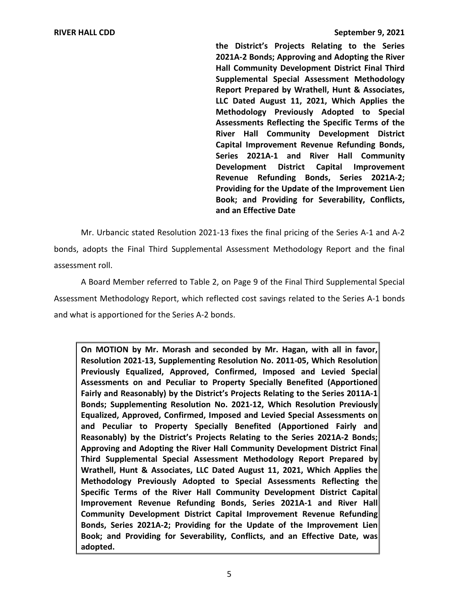**the District's Projects Relating to the Series Hall Community Development District Final Third Supplemental Special Assessment Methodology LLC Dated August 11, 2021, Which Applies the Methodology Previously Adopted to Special Capital Improvement Revenue Refunding Bonds, Series 2021A-1 and River Hall Community Book; and Providing for Severability, Conflicts, and an Effective Date 2021A-2 Bonds; Approving and Adopting the River Report Prepared by Wrathell, Hunt & Associates, Assessments Reflecting the Specific Terms of the River Hall Community Development District Development District Capital Improvement Revenue Refunding Bonds, Series 2021A-2; Providing for the Update of the Improvement Lien** 

 Mr. Urbancic stated Resolution 2021-13 fixes the final pricing of the Series A-1 and A-2 bonds, adopts the Final Third Supplemental Assessment Methodology Report and the final assessment roll.

 A Board Member referred to Table 2, on Page 9 of the Final Third Supplemental Special Assessment Methodology Report, which reflected cost savings related to the Series A-1 bonds and what is apportioned for the Series A-2 bonds.

 **Resolution 2021-13, Supplementing Resolution No. 2011-05, Which Resolution Previously Equalized, Approved, Confirmed, Imposed and Levied Special Fairly and Reasonably) by the District's Projects Relating to the Series 2011A-1 Bonds; Supplementing Resolution No. 2021-12, Which Resolution Previously Equalized, Approved, Confirmed, Imposed and Levied Special Assessments on and Peculiar to Property Specially Benefited (Apportioned Fairly and Reasonably) by the District's Projects Relating to the Series 2021A-2 Bonds; Approving and Adopting the River Hall Community Development District Final Third Supplemental Special Assessment Methodology Report Prepared by Wrathell, Hunt & Associates, LLC Dated August 11, 2021, Which Applies the Methodology Previously Adopted to Special Assessments Reflecting the Improvement Revenue Refunding Bonds, Series 2021A-1 and River Hall Book; and Providing for Severability, Conflicts, and an Effective Date, was On MOTION by Mr. Morash and seconded by Mr. Hagan, with all in favor, Assessments on and Peculiar to Property Specially Benefited (Apportioned Specific Terms of the River Hall Community Development District Capital Community Development District Capital Improvement Revenue Refunding Bonds, Series 2021A-2; Providing for the Update of the Improvement Lien adopted.**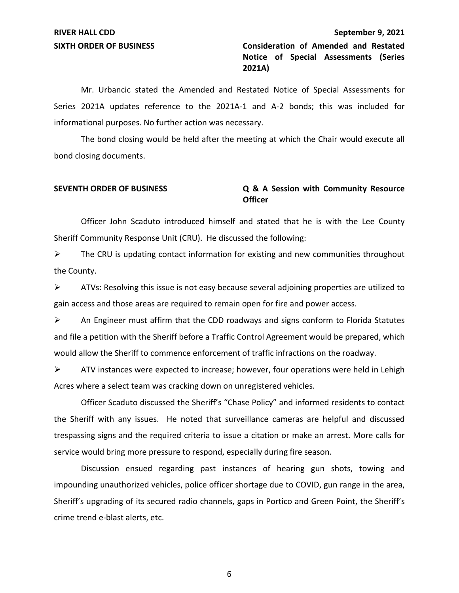**SIXTH ORDER OF BUSINESS Consideration of Amended and Restated Notice of Special Assessments (Series 2021A)** 

 Series 2021A updates reference to the 2021A-1 and A-2 bonds; this was included for informational purposes. No further action was necessary. Mr. Urbancic stated the Amended and Restated Notice of Special Assessments for

 The bond closing would be held after the meeting at which the Chair would execute all bond closing documents.

### **SEVENTH ORDER OF BUSINESS Q & A Session with Community Resource Officer**

 Sheriff Community Response Unit (CRU). He discussed the following: Officer John Scaduto introduced himself and stated that he is with the Lee County

 $\triangleright$  The CRU is updating contact information for existing and new communities throughout the County.

 gain access and those areas are required to remain open for fire and power access.  $\triangleright$  ATVs: Resolving this issue is not easy because several adjoining properties are utilized to

 $\triangleright$  An Engineer must affirm that the CDD roadways and signs conform to Florida Statutes would allow the Sheriff to commence enforcement of traffic infractions on the roadway. and file a petition with the Sheriff before a Traffic Control Agreement would be prepared, which

 $\triangleright$  ATV instances were expected to increase; however, four operations were held in Lehigh Acres where a select team was cracking down on unregistered vehicles.

 Officer Scaduto discussed the Sheriff's "Chase Policy" and informed residents to contact trespassing signs and the required criteria to issue a citation or make an arrest. More calls for service would bring more pressure to respond, especially during fire season. the Sheriff with any issues. He noted that surveillance cameras are helpful and discussed

 Sheriff's upgrading of its secured radio channels, gaps in Portico and Green Point, the Sheriff's Discussion ensued regarding past instances of hearing gun shots, towing and impounding unauthorized vehicles, police officer shortage due to COVID, gun range in the area, crime trend e-blast alerts, etc.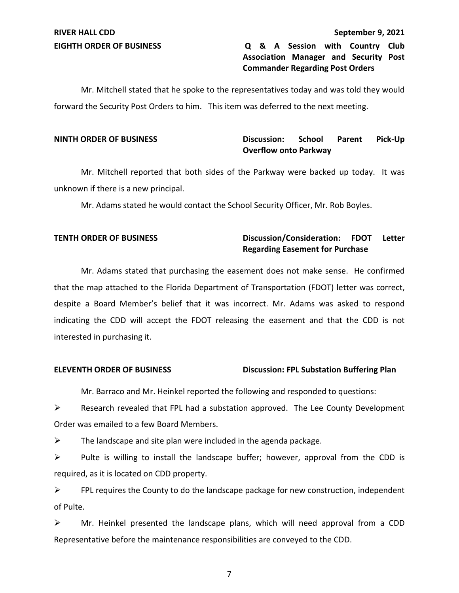# **EIGHTH ORDER OF BUSINESS Q & A Session with Country Club Association Manager and Security Post Commander Regarding Post Orders**

 forward the Security Post Orders to him. This item was deferred to the next meeting. Mr. Mitchell stated that he spoke to the representatives today and was told they would

# **Overflow onto Parkway NINTH ORDER OF BUSINESS Discussion: School Parent Pick-Up**

 Mr. Mitchell reported that both sides of the Parkway were backed up today. It was unknown if there is a new principal.

Mr. Adams stated he would contact the School Security Officer, Mr. Rob Boyles.

# **TENTH ORDER OF BUSINESS** Discussion/Consideration: FDOT Letter **Regarding Easement for Purchase**

 Mr. Adams stated that purchasing the easement does not make sense. He confirmed interested in purchasing it. that the map attached to the Florida Department of Transportation (FDOT) letter was correct, despite a Board Member's belief that it was incorrect. Mr. Adams was asked to respond indicating the CDD will accept the FDOT releasing the easement and that the CDD is not

# **ELEVENTH ORDER OF BUSINESS Discussion: FPL Substation Buffering Plan**

Mr. Barraco and Mr. Heinkel reported the following and responded to questions:

 Order was emailed to a few Board Members.  $\triangleright$  Research revealed that FPL had a substation approved. The Lee County Development

 $\triangleright$  The landscape and site plan were included in the agenda package.

 $\triangleright$  Pulte is willing to install the landscape buffer; however, approval from the CDD is required, as it is located on CDD property.

 $\triangleright$  FPL requires the County to do the landscape package for new construction, independent of Pulte.

 $\triangleright$  Mr. Heinkel presented the landscape plans, which will need approval from a CDD Representative before the maintenance responsibilities are conveyed to the CDD.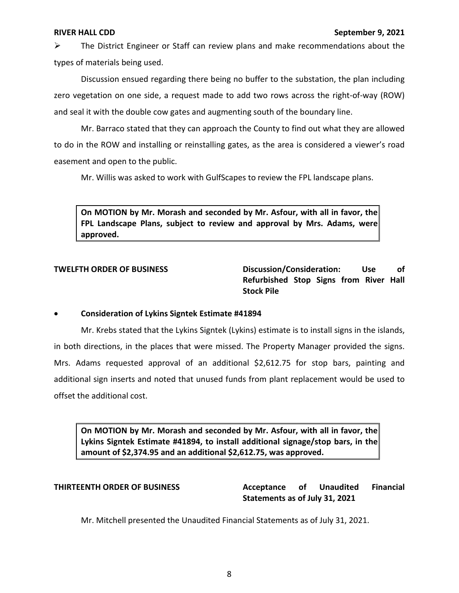$\triangleright$  The District Engineer or Staff can review plans and make recommendations about the types of materials being used.

 Discussion ensued regarding there being no buffer to the substation, the plan including zero vegetation on one side, a request made to add two rows across the right-of-way (ROW) and seal it with the double cow gates and augmenting south of the boundary line.

 Mr. Barraco stated that they can approach the County to find out what they are allowed to do in the ROW and installing or reinstalling gates, as the area is considered a viewer's road easement and open to the public.

Mr. Willis was asked to work with GulfScapes to review the FPL landscape plans.

 **FPL Landscape Plans, subject to review and approval by Mrs. Adams, were On MOTION by Mr. Morash and seconded by Mr. Asfour, with all in favor, the approved.** 

**TWELFTH ORDER OF BUSINESS Discussion/Consideration: Use of Refurbished Stop Signs from River Hall Stock Pile** 

# • **Consideration of Lykins Signtek Estimate #41894**

 Mr. Krebs stated that the Lykins Signtek (Lykins) estimate is to install signs in the islands, additional sign inserts and noted that unused funds from plant replacement would be used to in both directions, in the places that were missed. The Property Manager provided the signs. Mrs. Adams requested approval of an additional [\\$2,612.75](https://2,612.75) for stop bars, painting and offset the additional cost.

 **Lykins Signtek Estimate #41894, to install additional signage/stop bars, in the On MOTION by Mr. Morash and seconded by Mr. Asfour, with all in favor, the amount of [\\$2,374.95](https://2,374.95) and an additional \$[2,612.75](https://2,612.75), was approved.** 

**THIRTEENTH ORDER OF BUSINESS Acceptance of Unaudited Financial Statements as of July 31, 2021** 

Mr. Mitchell presented the Unaudited Financial Statements as of July 31, 2021.<br> $\frac{8}{\sqrt{3}}$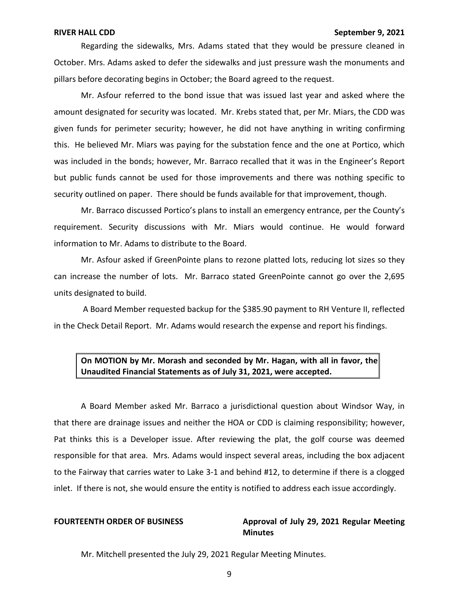Regarding the sidewalks, Mrs. Adams stated that they would be pressure cleaned in pillars before decorating begins in October; the Board agreed to the request. October. Mrs. Adams asked to defer the sidewalks and just pressure wash the monuments and

 Mr. Asfour referred to the bond issue that was issued last year and asked where the amount designated for security was located. Mr. Krebs stated that, per Mr. Miars, the CDD was given funds for perimeter security; however, he did not have anything in writing confirming this. He believed Mr. Miars was paying for the substation fence and the one at Portico, which was included in the bonds; however, Mr. Barraco recalled that it was in the Engineer's Report but public funds cannot be used for those improvements and there was nothing specific to security outlined on paper. There should be funds available for that improvement, though.

 Mr. Barraco discussed Portico's plans to install an emergency entrance, per the County's requirement. Security discussions with Mr. Miars would continue. He would forward information to Mr. Adams to distribute to the Board.

 can increase the number of lots. Mr. Barraco stated GreenPointe cannot go over the 2,695 Mr. Asfour asked if GreenPointe plans to rezone platted lots, reducing lot sizes so they units designated to build.

 in the Check Detail Report. Mr. Adams would research the expense and report his findings. A Board Member requested backup for the \$385.90 payment to RH Venture II, reflected

# **On MOTION by Mr. Morash and seconded by Mr. Hagan, with all in favor, the Unaudited Financial Statements as of July 31, 2021, were accepted.**

 to the Fairway that carries water to Lake 3-1 and behind #12, to determine if there is a clogged inlet. If there is not, she would ensure the entity is notified to address each issue accordingly. A Board Member asked Mr. Barraco a jurisdictional question about Windsor Way, in that there are drainage issues and neither the HOA or CDD is claiming responsibility; however, Pat thinks this is a Developer issue. After reviewing the plat, the golf course was deemed responsible for that area. Mrs. Adams would inspect several areas, including the box adjacent

### **FOURTEENTH ORDER OF BUSINESS Approval of July 29, 2021 Regular Meeting Minutes**

Mr. Mitchell presented the July 29, 2021 Regular Meeting Minutes.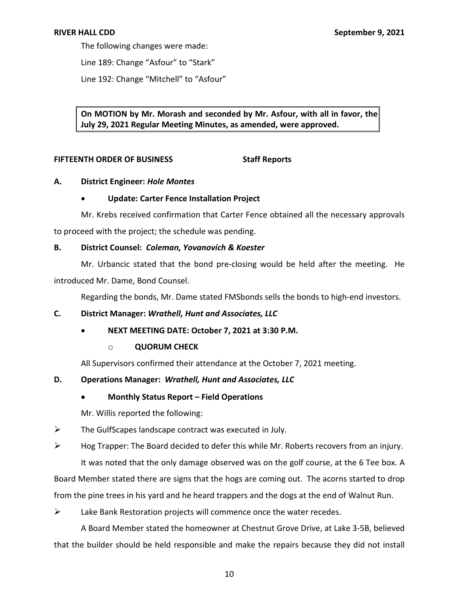The following changes were made:

Line 189: Change "Asfour" to "Stark"

Line 192: Change "Mitchell" to "Asfour"

 **On MOTION by Mr. Morash and seconded by Mr. Asfour, with all in favor, the July 29, 2021 Regular Meeting Minutes, as amended, were approved.** 

### **FIFTEENTH ORDER OF BUSINESS Staff Reports**

# **A. District Engineer:** *Hole Montes*

# • **Update: Carter Fence Installation Project**

 Mr. Krebs received confirmation that Carter Fence obtained all the necessary approvals to proceed with the project; the schedule was pending.

# **B. District Counsel:** *Coleman, Yovanovich & Koester*

 Mr. Urbancic stated that the bond pre-closing would be held after the meeting. He introduced Mr. Dame, Bond Counsel.

Regarding the bonds, Mr. Dame stated FMSbonds sells the bonds to high-end investors.

# **C. District Manager:** *Wrathell, Hunt and Associates, LLC*

• **NEXT MEETING DATE: October 7, 2021 at 3:30 P.M.** 

# o **QUORUM CHECK**

All Supervisors confirmed their attendance at the October 7, 2021 meeting.

# **D. Operations Manager:** *Wrathell, Hunt and Associates, LLC*

# • **Monthly Status Report – Field Operations**

Mr. Willis reported the following:

 $\triangleright$  The GulfScapes landscape contract was executed in July.

# $\triangleright$  Hog Trapper: The Board decided to defer this while Mr. Roberts recovers from an injury.

 It was noted that the only damage observed was on the golf course, at the 6 Tee box. A from the pine trees in his yard and he heard trappers and the dogs at the end of Walnut Run. Board Member stated there are signs that the hogs are coming out. The acorns started to drop

 $\triangleright$  Lake Bank Restoration projects will commence once the water recedes.

 that the builder should be held responsible and make the repairs because they did not install A Board Member stated the homeowner at Chestnut Grove Drive, at Lake 3-5B, believed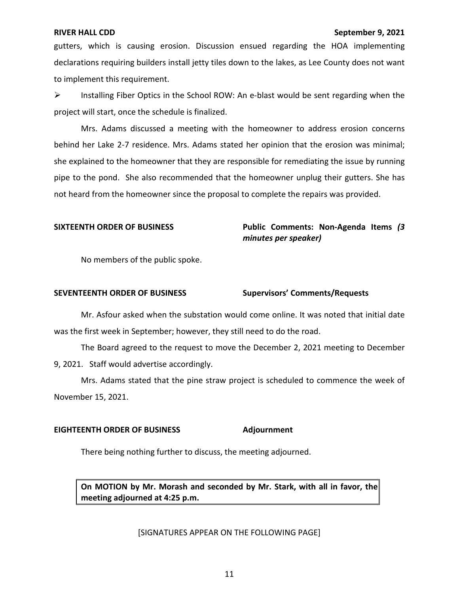declarations requiring builders install jetty tiles down to the lakes, as Lee County does not want gutters, which is causing erosion. Discussion ensued regarding the HOA implementing to implement this requirement.

 project will start, once the schedule is finalized.  $\triangleright$  Installing Fiber Optics in the School ROW: An e-blast would be sent regarding when the

 behind her Lake 2-7 residence. Mrs. Adams stated her opinion that the erosion was minimal; she explained to the homeowner that they are responsible for remediating the issue by running pipe to the pond. She also recommended that the homeowner unplug their gutters. She has not heard from the homeowner since the proposal to complete the repairs was provided. Mrs. Adams discussed a meeting with the homeowner to address erosion concerns

SIXTEENTH ORDER OF BUSINESS **Public Comments: Non-Agenda Items** (3 *minutes per speaker)* 

No members of the public spoke.

### **SEVENTEENTH ORDER OF BUSINESS Supervisors' Comments/Requests**

 was the first week in September; however, they still need to do the road. Mr. Asfour asked when the substation would come online. It was noted that initial date

 The Board agreed to the request to move the December 2, 2021 meeting to December 9, 2021. Staff would advertise accordingly.

 Mrs. Adams stated that the pine straw project is scheduled to commence the week of November 15, 2021.

### **EIGHTEENTH ORDER OF BUSINESS Adjournment**

There being nothing further to discuss, the meeting adjourned.

 **On MOTION by Mr. Morash and seconded by Mr. Stark, with all in favor, the meeting adjourned at 4:25 p.m.** 

### [SIGNATURES APPEAR ON THE FOLLOWING PAGE]